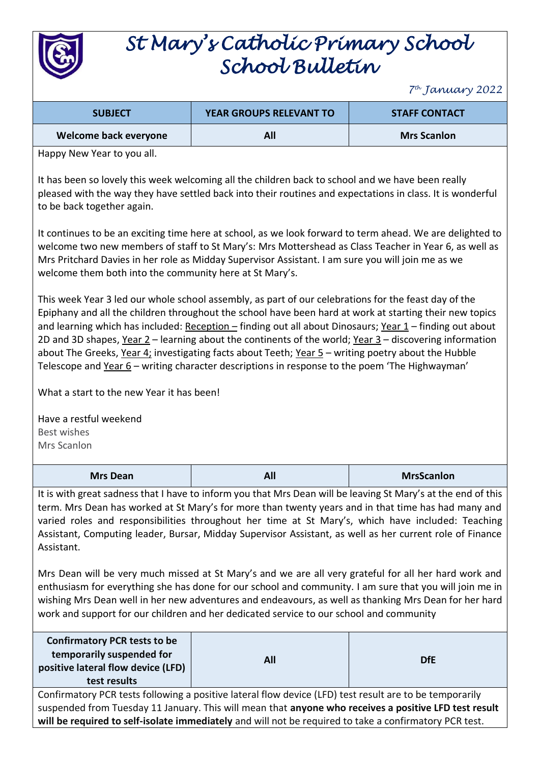

# *St Mary's Catholic Primary School School Bulletin*

*7 th January 2022*

| <b>SUBJECT</b>        | <b>YEAR GROUPS RELEVANT TO</b> | <b>STAFF CONTACT</b> |
|-----------------------|--------------------------------|----------------------|
| Welcome back everyone | All                            | <b>Mrs Scanlon</b>   |

Happy New Year to you all.

It has been so lovely this week welcoming all the children back to school and we have been really pleased with the way they have settled back into their routines and expectations in class. It is wonderful to be back together again.

It continues to be an exciting time here at school, as we look forward to term ahead. We are delighted to welcome two new members of staff to St Mary's: Mrs Mottershead as Class Teacher in Year 6, as well as Mrs Pritchard Davies in her role as Midday Supervisor Assistant. I am sure you will join me as we welcome them both into the community here at St Mary's.

This week Year 3 led our whole school assembly, as part of our celebrations for the feast day of the Epiphany and all the children throughout the school have been hard at work at starting their new topics and learning which has included: Reception – finding out all about Dinosaurs; Year 1 – finding out about 2D and 3D shapes, Year  $2-$  learning about the continents of the world; Year  $3-$  discovering information about The Greeks, Year 4; investigating facts about Teeth; Year 5 – writing poetry about the Hubble Telescope and  $Year 6 - writing character descriptions in response to the poem 'The Highwayman'$ </u>

What a start to the new Year it has been!

Have a restful weekend Best wishes Mrs Scanlon

| <b>Mrs Dean</b> | All | <b>MrsScanlon</b> |
|-----------------|-----|-------------------|
|                 |     |                   |

It is with great sadness that I have to inform you that Mrs Dean will be leaving St Mary's at the end of this term. Mrs Dean has worked at St Mary's for more than twenty years and in that time has had many and varied roles and responsibilities throughout her time at St Mary's, which have included: Teaching Assistant, Computing leader, Bursar, Midday Supervisor Assistant, as well as her current role of Finance Assistant.

Mrs Dean will be very much missed at St Mary's and we are all very grateful for all her hard work and enthusiasm for everything she has done for our school and community. I am sure that you will join me in wishing Mrs Dean well in her new adventures and endeavours, as well as thanking Mrs Dean for her hard work and support for our children and her dedicated service to our school and community

| <b>Confirmatory PCR tests to be</b><br>temporarily suspended for<br>positive lateral flow device (LFD)<br>test results | All | <b>DfE</b> |
|------------------------------------------------------------------------------------------------------------------------|-----|------------|
|                                                                                                                        |     |            |

Confirmatory PCR tests following a positive lateral flow device (LFD) test result are to be temporarily suspended from Tuesday 11 January. This will mean that **anyone who receives a positive LFD test result will be required to self-isolate immediately** and will not be required to take a confirmatory PCR test.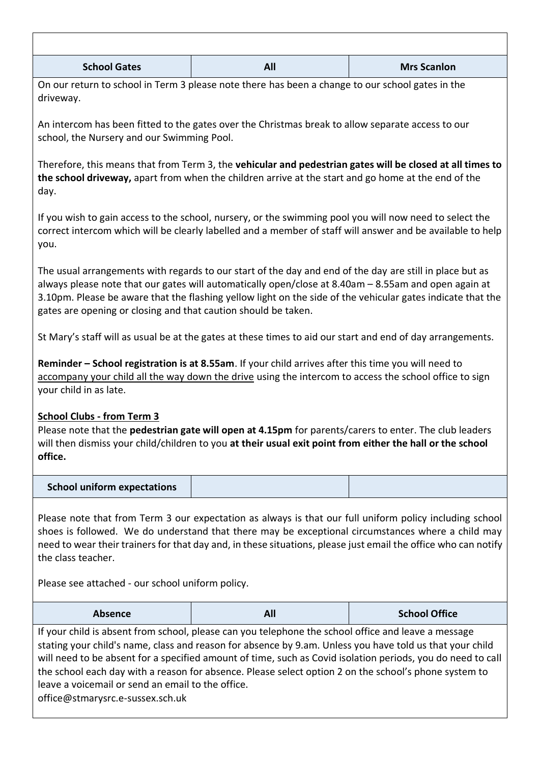| <b>School Gates</b> | All | <b>Mrs Scanlon</b> |
|---------------------|-----|--------------------|

On our return to school in Term 3 please note there has been a change to our school gates in the driveway.

An intercom has been fitted to the gates over the Christmas break to allow separate access to our school, the Nursery and our Swimming Pool.

Therefore, this means that from Term 3, the **vehicular and pedestrian gates will be closed at all times to the school driveway,** apart from when the children arrive at the start and go home at the end of the day.

If you wish to gain access to the school, nursery, or the swimming pool you will now need to select the correct intercom which will be clearly labelled and a member of staff will answer and be available to help you.

The usual arrangements with regards to our start of the day and end of the day are still in place but as always please note that our gates will automatically open/close at 8.40am – 8.55am and open again at 3.10pm. Please be aware that the flashing yellow light on the side of the vehicular gates indicate that the gates are opening or closing and that caution should be taken.

St Mary's staff will as usual be at the gates at these times to aid our start and end of day arrangements.

**Reminder – School registration is at 8.55am**. If your child arrives after this time you will need to accompany your child all the way down the drive using the intercom to access the school office to sign your child in as late.

### **School Clubs - from Term 3**

Please note that the **pedestrian gate will open at 4.15pm** for parents/carers to enter. The club leaders will then dismiss your child/children to you **at their usual exit point from either the hall or the school office.**

#### **School uniform expectations**

Please note that from Term 3 our expectation as always is that our full uniform policy including school shoes is followed. We do understand that there may be exceptional circumstances where a child may need to wear their trainers for that day and, in these situations, please just email the office who can notify the class teacher.

Please see attached - our school uniform policy. 

| <b>Absence</b> | All | <b>School Office</b> |
|----------------|-----|----------------------|
|----------------|-----|----------------------|

If your child is absent from school, please can you telephone the school office and leave a message stating your child's name, class and reason for absence by 9.am. Unless you have told us that your child will need to be absent for a specified amount of time, such as Covid isolation periods, you do need to call the school each day with a reason for absence. Please select option 2 on the school's phone system to leave a voicemail or send an email to the office. office@stmarysrc.e-sussex.sch.uk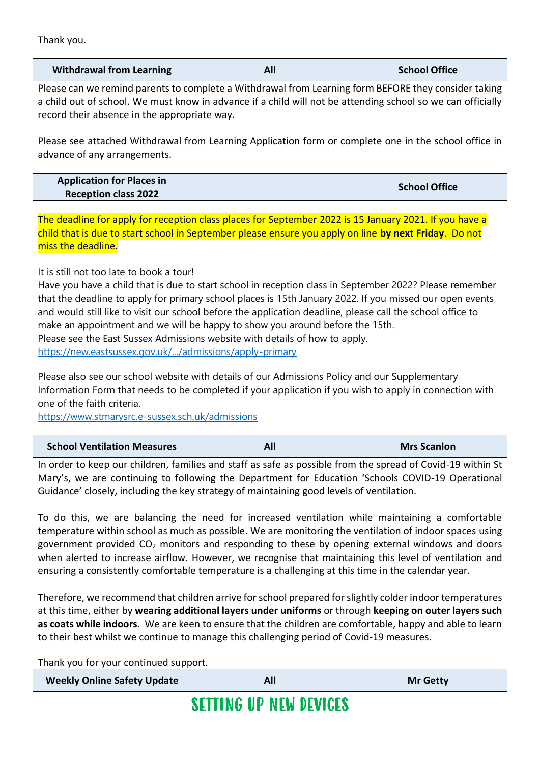| Thank you.                                                                                                                                                                                                                                                                                                                                                                                                                                                                                                                                                                                                                                                                                                                               |            |                      |
|------------------------------------------------------------------------------------------------------------------------------------------------------------------------------------------------------------------------------------------------------------------------------------------------------------------------------------------------------------------------------------------------------------------------------------------------------------------------------------------------------------------------------------------------------------------------------------------------------------------------------------------------------------------------------------------------------------------------------------------|------------|----------------------|
| <b>Withdrawal from Learning</b>                                                                                                                                                                                                                                                                                                                                                                                                                                                                                                                                                                                                                                                                                                          | All        | <b>School Office</b> |
| Please can we remind parents to complete a Withdrawal from Learning form BEFORE they consider taking<br>a child out of school. We must know in advance if a child will not be attending school so we can officially<br>record their absence in the appropriate way.<br>Please see attached Withdrawal from Learning Application form or complete one in the school office in<br>advance of any arrangements.                                                                                                                                                                                                                                                                                                                             |            |                      |
| <b>Application for Places in</b><br><b>Reception class 2022</b>                                                                                                                                                                                                                                                                                                                                                                                                                                                                                                                                                                                                                                                                          |            | <b>School Office</b> |
| The deadline for apply for reception class places for September 2022 is 15 January 2021. If you have a<br>child that is due to start school in September please ensure you apply on line by next Friday. Do not<br>miss the deadline.                                                                                                                                                                                                                                                                                                                                                                                                                                                                                                    |            |                      |
| It is still not too late to book a tour!<br>Have you have a child that is due to start school in reception class in September 2022? Please remember<br>that the deadline to apply for primary school places is 15th January 2022. If you missed our open events<br>and would still like to visit our school before the application deadline, please call the school office to<br>make an appointment and we will be happy to show you around before the 15th.<br>Please see the East Sussex Admissions website with details of how to apply.<br>https://new.eastsussex.gov.uk//admissions/apply-primary                                                                                                                                  |            |                      |
| Please also see our school website with details of our Admissions Policy and our Supplementary<br>Information Form that needs to be completed if your application if you wish to apply in connection with<br>one of the faith criteria.<br>https://www.stmarysrc.e-sussex.sch.uk/admissions                                                                                                                                                                                                                                                                                                                                                                                                                                              |            |                      |
| <b>School Ventilation Measures</b>                                                                                                                                                                                                                                                                                                                                                                                                                                                                                                                                                                                                                                                                                                       | <b>All</b> | <b>Mrs Scanlon</b>   |
| In order to keep our children, families and staff as safe as possible from the spread of Covid-19 within St<br>Mary's, we are continuing to following the Department for Education 'Schools COVID-19 Operational<br>Guidance' closely, including the key strategy of maintaining good levels of ventilation.<br>To do this, we are balancing the need for increased ventilation while maintaining a comfortable<br>temperature within school as much as possible. We are monitoring the ventilation of indoor spaces using<br>government provided $CO2$ monitors and responding to these by opening external windows and doors<br>when alerted to increase airflow. However, we recognise that maintaining this level of ventilation and |            |                      |
| ensuring a consistently comfortable temperature is a challenging at this time in the calendar year.<br>Therefore, we recommend that children arrive for school prepared for slightly colder indoor temperatures<br>at this time, either by wearing additional layers under uniforms or through keeping on outer layers such<br>as coats while indoors. We are keen to ensure that the children are comfortable, happy and able to learn<br>to their best whilst we continue to manage this challenging period of Covid-19 measures.                                                                                                                                                                                                      |            |                      |
| Thank you for your continued support.<br><b>Weekly Online Safety Update</b><br><b>All</b><br><b>Mr Getty</b>                                                                                                                                                                                                                                                                                                                                                                                                                                                                                                                                                                                                                             |            |                      |
| <b>SETTING UP NEW DEVICES</b>                                                                                                                                                                                                                                                                                                                                                                                                                                                                                                                                                                                                                                                                                                            |            |                      |